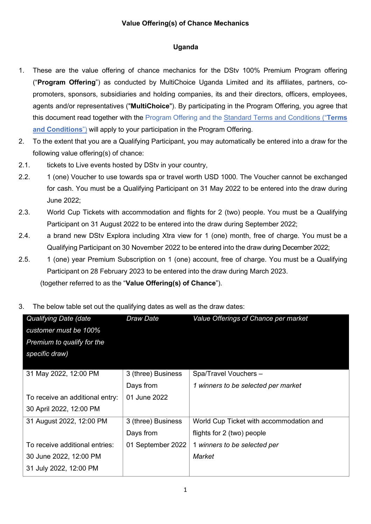## **Value Offering(s) of Chance Mechanics**

## **Uganda**

- 1. These are the value offering of chance mechanics for the DStv 100% Premium Program offering ("**Program Offering**") as conducted by MultiChoice Uganda Limited and its affiliates, partners, copromoters, sponsors, subsidiaries and holding companies, its and their directors, officers, employees, agents and/or representatives ("**MultiChoice**"). By participating in the Program Offering, you agree that this document read together with the Program Offering and the Standard Terms and [Conditions](https://www.multichoice.com/media/2148/standard-terms-and-conditions-applicable-to-campaigns-or-promotions-or-competitions-new.pdf) ("**Terms and Conditions**") will apply to your participation in the Program Offering.
- 2. To the extent that you are a Qualifying Participant, you may automatically be entered into a draw for the following value offering(s) of chance:
- 2.1. tickets to Live events hosted by DStv in your country,
- 2.2. 1 (one) Voucher to use towards spa or travel worth USD 1000. The Voucher cannot be exchanged for cash. You must be a Qualifying Participant on 31 May 2022 to be entered into the draw during June 2022;
- 2.3. World Cup Tickets with accommodation and flights for 2 (two) people. You must be a Qualifying Participant on 31 August 2022 to be entered into the draw during September 2022;
- 2.4. a brand new DStv Explora including Xtra view for 1 (one) month, free of charge. You must be a Qualifying Participant on 30 November 2022 to be entered into the draw during December 2022;
- 2.5. 1 (one) year Premium Subscription on 1 (one) account, free of charge. You must be a Qualifying Participant on 28 February 2023 to be entered into the draw during March 2023.

(together referred to as the "**Value Offering(s) of Chance**").

3. The below table set out the qualifying dates as well as the draw dates:

| <b>Qualifying Date (date</b>    | Draw Date          | Value Offerings of Chance per market    |
|---------------------------------|--------------------|-----------------------------------------|
| customer must be 100%           |                    |                                         |
| Premium to qualify for the      |                    |                                         |
| specific draw)                  |                    |                                         |
|                                 |                    |                                         |
| 31 May 2022, 12:00 PM           | 3 (three) Business | Spa/Travel Vouchers -                   |
|                                 | Days from          | 1 winners to be selected per market     |
| To receive an additional entry: | 01 June 2022       |                                         |
| 30 April 2022, 12:00 PM         |                    |                                         |
| 31 August 2022, 12:00 PM        | 3 (three) Business | World Cup Ticket with accommodation and |
|                                 | Days from          | flights for 2 (two) people              |
| To receive additional entries:  | 01 September 2022  | 1 winners to be selected per            |
| 30 June 2022, 12:00 PM          |                    | Market                                  |
| 31 July 2022, 12:00 PM          |                    |                                         |